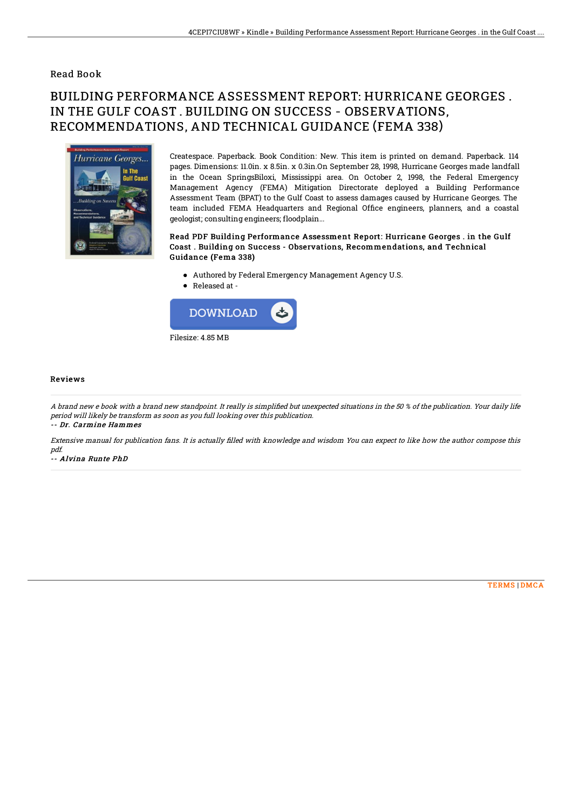### Read Book

# BUILDING PERFORMANCE ASSESSMENT REPORT: HURRICANE GEORGES . IN THE GULF COAST . BUILDING ON SUCCESS - OBSERVATIONS, RECOMMENDATIONS, AND TECHNICAL GUIDANCE (FEMA 338)



Createspace. Paperback. Book Condition: New. This item is printed on demand. Paperback. 114 pages. Dimensions: 11.0in. x 8.5in. x 0.3in.On September 28, 1998, Hurricane Georges made landfall in the Ocean SpringsBiloxi, Mississippi area. On October 2, 1998, the Federal Emergency Management Agency (FEMA) Mitigation Directorate deployed a Building Performance Assessment Team (BPAT) to the Gulf Coast to assess damages caused by Hurricane Georges. The team included FEMA Headquarters and Regional Office engineers, planners, and a coastal geologist; consulting engineers; floodplain...

#### Read PDF Building Performance Assessment Report: Hurricane Georges . in the Gulf Coast . Building on Success - Observations, Recommendations, and Technical Guidance (Fema 338)

- Authored by Federal Emergency Management Agency U.S.
- Released at -



#### Reviews

A brand new e book with a brand new standpoint. It really is simplified but unexpected situations in the 50 % of the publication. Your daily life period will likely be transform as soon as you full looking over this publication. -- Dr. Carmine Hammes

Extensive manual for publication fans. It is actually filled with knowledge and wisdom You can expect to like how the author compose this pdf.

-- Alvina Runte PhD